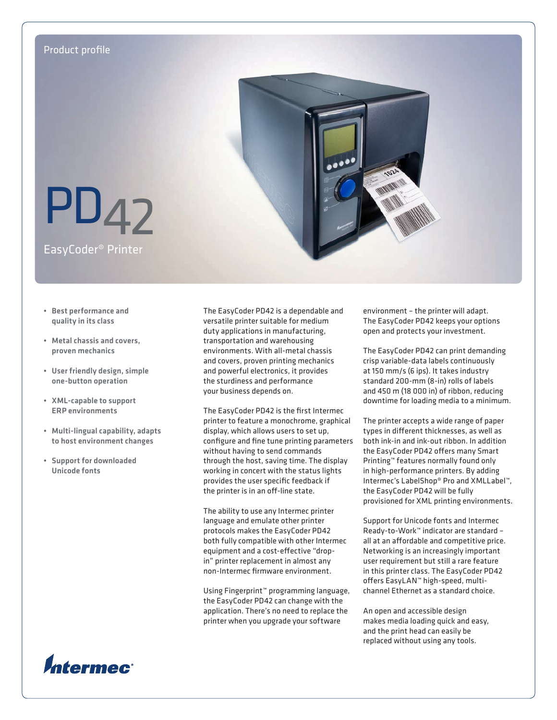

- • Best performance and quality in its class
- • Metal chassis and covers, proven mechanics
- • User friendly design, simple one-button operation
- • XML-capable to support ERP environments
- • Multi-lingual capability, adapts to host environment changes
- • Support for downloaded Unicode fonts

The EasyCoder PD42 is a dependable and versatile printer suitable for medium duty applications in manufacturing, transportation and warehousing environments. With all-metal chassis and covers, proven printing mechanics and powerful electronics, it provides the sturdiness and performance your business depends on.

The EasyCoder PD42 is the first Intermec printer to feature a monochrome, graphical display, which allows users to set up, configure and fine tune printing parameters without having to send commands through the host, saving time. The display working in concert with the status lights provides the user specific feedback if the printer is in an off-line state.

The ability to use any Intermec printer language and emulate other printer protocols makes the EasyCoder PD42 both fully compatible with other Intermec equipment and a cost-effective "dropin" printer replacement in almost any non-Intermec firmware environment.

Using Fingerprint™ programming language, the EasyCoder PD42 can change with the application. There's no need to replace the printer when you upgrade your software

environment – the printer will adapt. The EasyCoder PD42 keeps your options open and protects your investment.

The EasyCoder PD42 can print demanding crisp variable-data labels continuously at 150 mm/s (6 ips). It takes industry standard 200-mm (8-in) rolls of labels and 450 m (18 000 in) of ribbon, reducing downtime for loading media to a minimum.

The printer accepts a wide range of paper types in different thicknesses, as well as both ink-in and ink-out ribbon. In addition the EasyCoder PD42 offers many Smart Printing™ features normally found only in high-performance printers. By adding Intermec's LabelShop® Pro and XMLLabel™, the EasyCoder PD42 will be fully provisioned for XML printing environments.

Support for Unicode fonts and Intermec Ready-to-Work™ indicator are standard – all at an affordable and competitive price. Networking is an increasingly important user requirement but still a rare feature in this printer class. The EasyCoder PD42 offers EasyLAN™ high-speed, multichannel Ethernet as a standard choice.

An open and accessible design makes media loading quick and easy, and the print head can easily be replaced without using any tools.